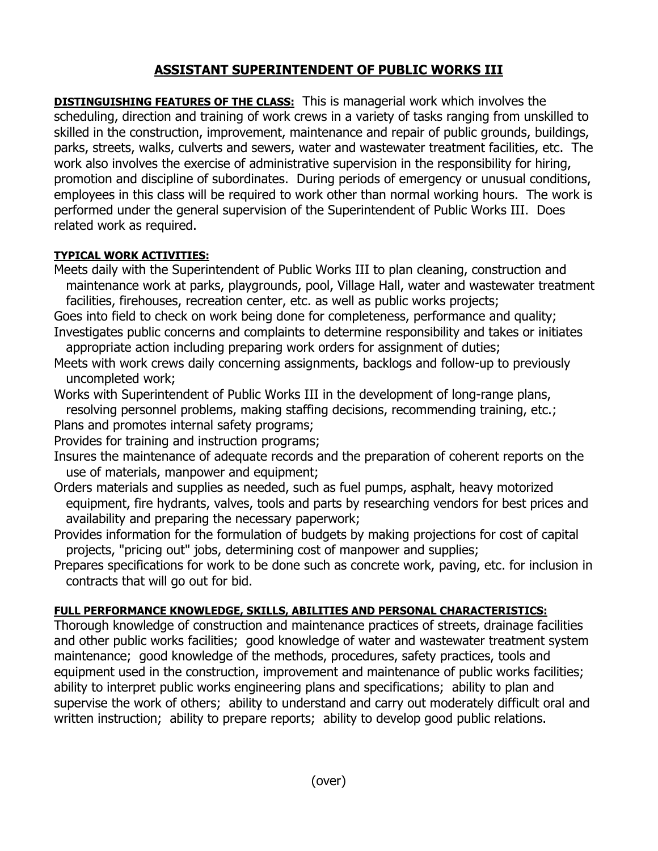## **ASSISTANT SUPERINTENDENT OF PUBLIC WORKS III**

**DISTINGUISHING FEATURES OF THE CLASS:** This is managerial work which involves the scheduling, direction and training of work crews in a variety of tasks ranging from unskilled to skilled in the construction, improvement, maintenance and repair of public grounds, buildings, parks, streets, walks, culverts and sewers, water and wastewater treatment facilities, etc. The work also involves the exercise of administrative supervision in the responsibility for hiring, promotion and discipline of subordinates. During periods of emergency or unusual conditions, employees in this class will be required to work other than normal working hours. The work is performed under the general supervision of the Superintendent of Public Works III. Does related work as required.

## **TYPICAL WORK ACTIVITIES:**

- Meets daily with the Superintendent of Public Works III to plan cleaning, construction and maintenance work at parks, playgrounds, pool, Village Hall, water and wastewater treatment facilities, firehouses, recreation center, etc. as well as public works projects;
- Goes into field to check on work being done for completeness, performance and quality; Investigates public concerns and complaints to determine responsibility and takes or initiates
- appropriate action including preparing work orders for assignment of duties; Meets with work crews daily concerning assignments, backlogs and follow-up to previously uncompleted work;

Works with Superintendent of Public Works III in the development of long-range plans, resolving personnel problems, making staffing decisions, recommending training, etc.;

Plans and promotes internal safety programs;

Provides for training and instruction programs;

- Insures the maintenance of adequate records and the preparation of coherent reports on the use of materials, manpower and equipment;
- Orders materials and supplies as needed, such as fuel pumps, asphalt, heavy motorized equipment, fire hydrants, valves, tools and parts by researching vendors for best prices and availability and preparing the necessary paperwork;
- Provides information for the formulation of budgets by making projections for cost of capital projects, "pricing out" jobs, determining cost of manpower and supplies;
- Prepares specifications for work to be done such as concrete work, paving, etc. for inclusion in contracts that will go out for bid.

## **FULL PERFORMANCE KNOWLEDGE, SKILLS, ABILITIES AND PERSONAL CHARACTERISTICS:**

Thorough knowledge of construction and maintenance practices of streets, drainage facilities and other public works facilities; good knowledge of water and wastewater treatment system maintenance; good knowledge of the methods, procedures, safety practices, tools and equipment used in the construction, improvement and maintenance of public works facilities; ability to interpret public works engineering plans and specifications; ability to plan and supervise the work of others; ability to understand and carry out moderately difficult oral and written instruction; ability to prepare reports; ability to develop good public relations.